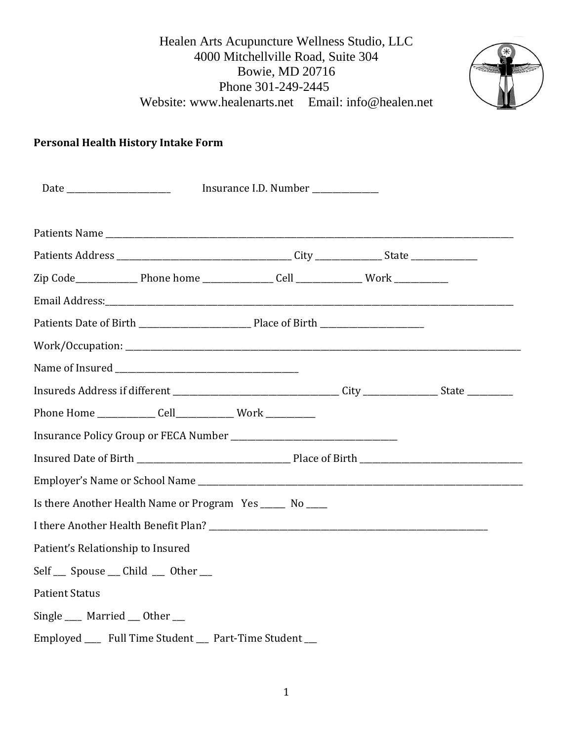

# **Personal Health History Intake Form**

|                                                                                                       |  | Insurance I.D. Number ____________ |  |  |  |
|-------------------------------------------------------------------------------------------------------|--|------------------------------------|--|--|--|
|                                                                                                       |  |                                    |  |  |  |
|                                                                                                       |  |                                    |  |  |  |
|                                                                                                       |  |                                    |  |  |  |
|                                                                                                       |  |                                    |  |  |  |
|                                                                                                       |  |                                    |  |  |  |
|                                                                                                       |  |                                    |  |  |  |
|                                                                                                       |  |                                    |  |  |  |
|                                                                                                       |  |                                    |  |  |  |
| Insureds Address if different ___________________________________City ________________State _________ |  |                                    |  |  |  |
| Phone Home ______________ Cell_______________ Work ____________                                       |  |                                    |  |  |  |
|                                                                                                       |  |                                    |  |  |  |
|                                                                                                       |  |                                    |  |  |  |
|                                                                                                       |  |                                    |  |  |  |
| Is there Another Health Name or Program Yes _____ No ____                                             |  |                                    |  |  |  |
|                                                                                                       |  |                                    |  |  |  |
| Patient's Relationship to Insured                                                                     |  |                                    |  |  |  |
| Self __ Spouse __ Child __ Other __                                                                   |  |                                    |  |  |  |
| <b>Patient Status</b>                                                                                 |  |                                    |  |  |  |
| Single ____ Married ___ Other ___                                                                     |  |                                    |  |  |  |
| Employed _____ Full Time Student ____ Part-Time Student ___                                           |  |                                    |  |  |  |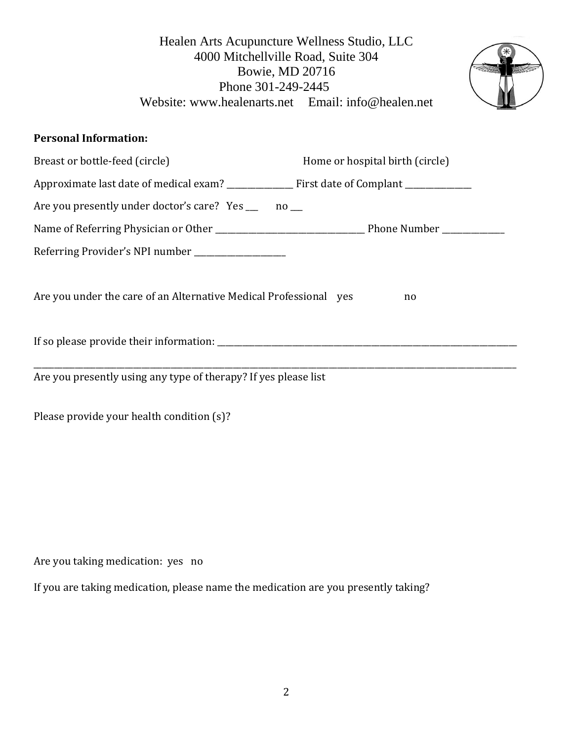

### **Personal Information:**

| Breast or bottle-feed (circle)                                    | Home or hospital birth (circle) |
|-------------------------------------------------------------------|---------------------------------|
|                                                                   |                                 |
| Are you presently under doctor's care? Yes _____ no ___           |                                 |
|                                                                   |                                 |
| Referring Provider's NPI number ______________________            |                                 |
| Are you under the care of an Alternative Medical Professional yes | no                              |
| If so please provide their information:                           |                                 |
|                                                                   |                                 |
| Are you presently using any type of therapy? If yes please list   |                                 |

Please provide your health condition (s)?

Are you taking medication: yes no

If you are taking medication, please name the medication are you presently taking?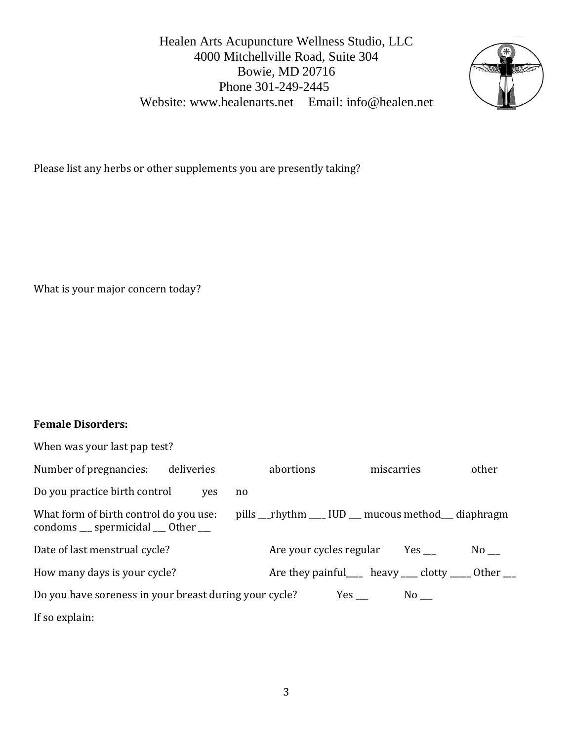

Please list any herbs or other supplements you are presently taking?

What is your major concern today?

## **Female Disorders:**

| When was your last pap test?                                                                   |                                                       |                     |            |
|------------------------------------------------------------------------------------------------|-------------------------------------------------------|---------------------|------------|
| Number of pregnancies:<br>deliveries                                                           | abortions                                             | miscarries          | other      |
| Do you practice birth control<br>ves<br>no                                                     |                                                       |                     |            |
| What form of birth control do you use:<br>condoms $\equiv$ spermicidal $\equiv$ 0ther $\equiv$ | pills __rhythm ___ IUD __ mucous method __ diaphragm  |                     |            |
| Date of last menstrual cycle?                                                                  | Are your cycles regular                               |                     | No results |
| How many days is your cycle?                                                                   | Are they painful____ heavy ____ clotty ____ Other ___ |                     |            |
| Do you have soreness in your breast during your cycle?                                         |                                                       | $No$ <sub>___</sub> |            |
| If so explain:                                                                                 |                                                       |                     |            |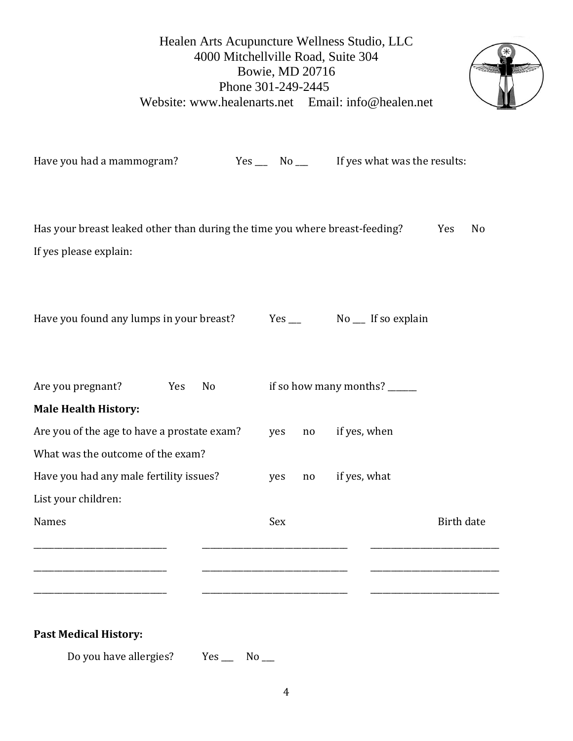

| Have you had a mammogram?                                                                             |                       | $Yes$ No $\_\$ |              |    |              | If yes what was the results:  |                   |    |
|-------------------------------------------------------------------------------------------------------|-----------------------|----------------|--------------|----|--------------|-------------------------------|-------------------|----|
| Has your breast leaked other than during the time you where breast-feeding?<br>If yes please explain: |                       |                |              |    |              |                               | Yes               | No |
| Have you found any lumps in your breast?                                                              |                       |                | $Yes$ $\_\_$ |    |              | No __ If so explain           |                   |    |
| Are you pregnant?                                                                                     | Yes<br>N <sub>o</sub> |                |              |    |              | if so how many months? ______ |                   |    |
| <b>Male Health History:</b>                                                                           |                       |                |              |    |              |                               |                   |    |
| Are you of the age to have a prostate exam?                                                           |                       |                | yes          | no | if yes, when |                               |                   |    |
| What was the outcome of the exam?                                                                     |                       |                |              |    |              |                               |                   |    |
| Have you had any male fertility issues?                                                               |                       |                | yes          | no | if yes, what |                               |                   |    |
| List your children:                                                                                   |                       |                |              |    |              |                               |                   |    |
| <b>Names</b>                                                                                          |                       |                | Sex          |    |              |                               | <b>Birth date</b> |    |
|                                                                                                       |                       |                |              |    |              |                               |                   |    |
|                                                                                                       |                       |                |              |    |              |                               |                   |    |
|                                                                                                       |                       |                |              |    |              |                               |                   |    |

### **Past Medical History:**

Do you have allergies? Yes \_\_\_\_ No \_\_\_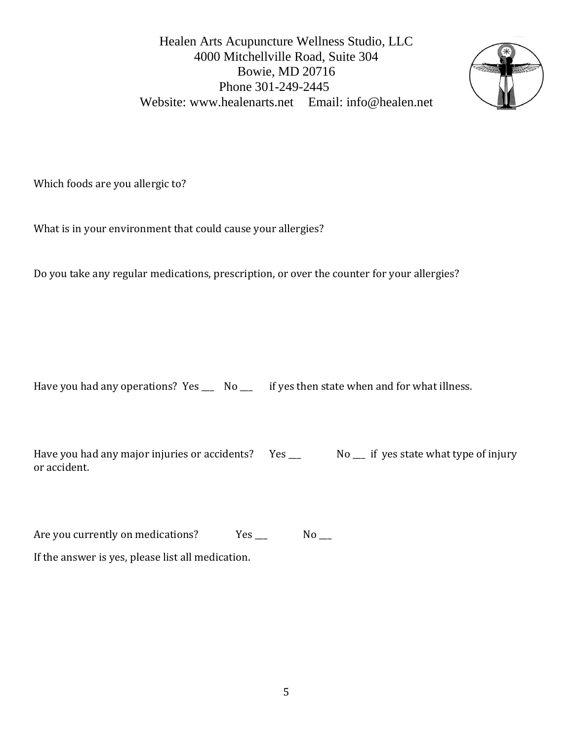

Which foods are you allergic to?

What is in your environment that could cause your allergies?

Do you take any regular medications, prescription, or over the counter for your allergies?

Have you had any operations? Yes \_\_\_\_ No \_\_\_ if yes then state when and for what illness.

Have you had any major injuries or accidents? Yes \_\_\_ No \_\_ if yes state what type of injury or accident.

Are you currently on medications? Yes \_\_\_ No \_\_ If the answer is yes, please list all medication.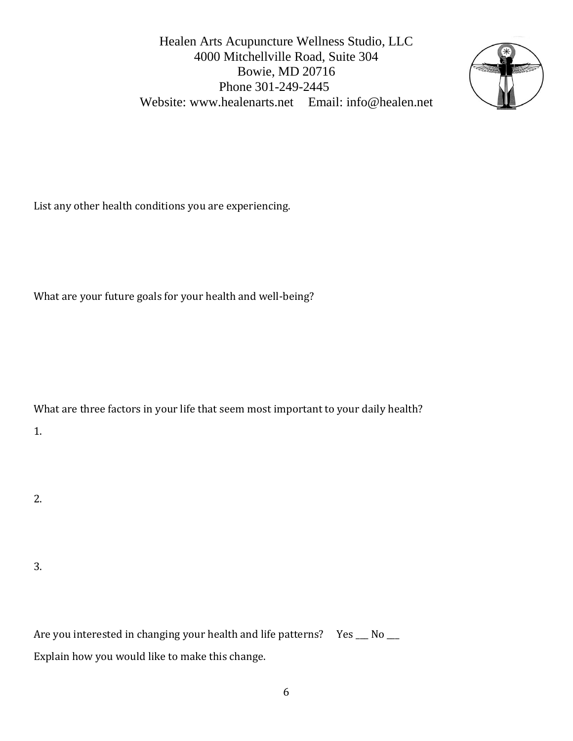

List any other health conditions you are experiencing.

What are your future goals for your health and well-being?

What are three factors in your life that seem most important to your daily health?

1.

2.

3.

Are you interested in changing your health and life patterns? Yes \_\_ No \_\_ Explain how you would like to make this change.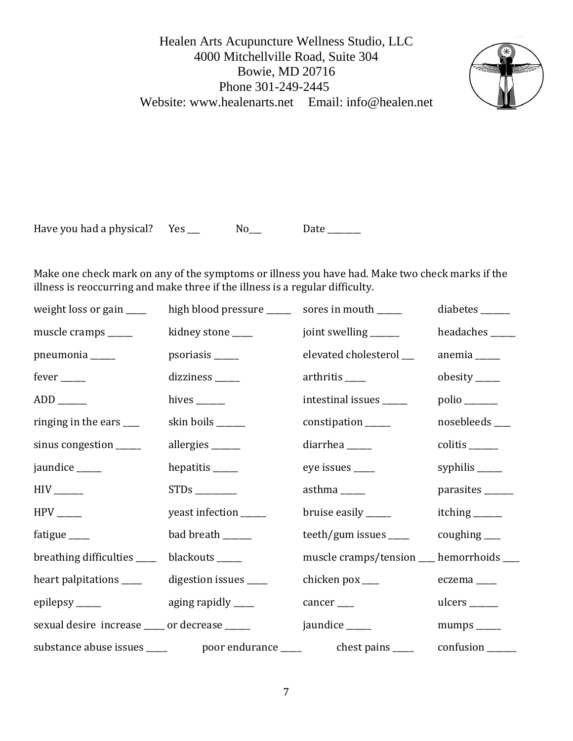

Have you had a physical? Yes \_\_\_ No\_\_ Date \_\_\_\_\_

Make one check mark on any of the symptoms or illness you have had. Make two check marks if the illness is reoccurring and make three if the illness is a regular difficulty.

| weight loss or gain _____                      | high blood pressure _____     | sores in mouth _____                     | diabetes $\_\_$               |
|------------------------------------------------|-------------------------------|------------------------------------------|-------------------------------|
| muscle cramps _____                            | kidney stone ____             | joint swelling ______                    | headaches _____               |
| pneumonia _____                                | psoriasis ______              | elevated cholesterol __                  | $anemia$ <sub>_____</sub>     |
| $fever$ <sub>_____</sub>                       | dizziness _____               | arthritis ____                           | $obesity$ <sub>_____</sub>    |
| $ADD$ <sub>______</sub>                        | hives $\_\_$                  | intestinal issues _____                  | $polio$ <sub>______</sub>     |
| ringing in the ears ____                       | skin boils ______             | constipation ______                      | nosebleeds ____               |
| sinus congestion _____                         | allergies $\_\_\_\_\_\_\_\_\$ | diarrhea _____                           | $colitis$ <sub>______</sub>   |
| jaundice _____                                 | hepatitis ______              | eye issues _____                         | syphilis $\frac{ }{ }$        |
| $HIV$ <sub>______</sub>                        | $STDs$ <sub>___________</sub> | asthma $\_\_\_\_\_\$                     | parasites ______              |
| $HPV$ <sub>_____</sub>                         | yeast infection _____         | bruise easily _____                      | itching _______               |
| fatigue $\_\_$                                 | bad breath ______             | teeth/gum issues ____                    | $coughing$ <sub>____</sub>    |
| breathing difficulties ____                    | blackouts _____               | muscle cramps/tension __ hemorrhoids ___ |                               |
| heart palpitations _____                       | digestion issues _____        | chicken $\mathsf{p}\text{o}$ x $\_\_$    | $eczema$ <sub>____</sub>      |
| epilepsy <sub>_____</sub>                      | aging rapidly $\_\_\_\_\$     | $cancer$ <sub>___</sub>                  |                               |
| sexual desire increase _____ or decrease _____ |                               | jaundice _____                           | $mumps$ <sub>______</sub>     |
|                                                |                               |                                          | $confusion$ <sub>______</sub> |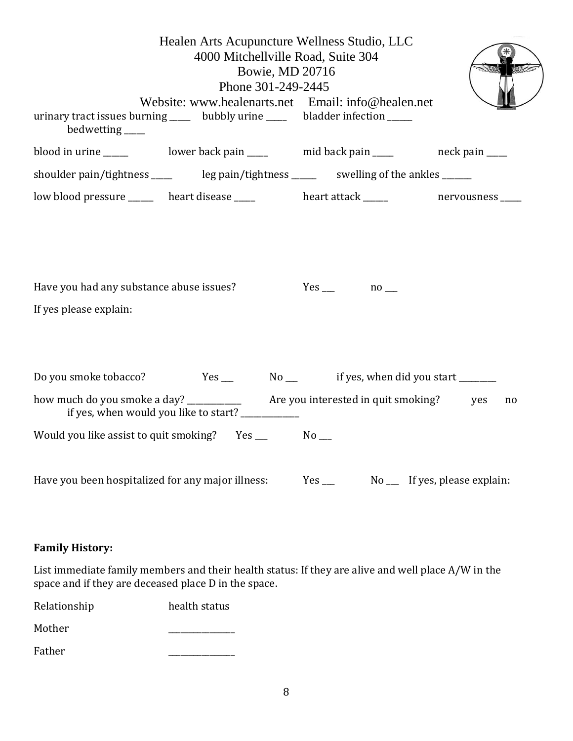| bedwetting _____                                                   | Healen Arts Acupuncture Wellness Studio, LLC<br>4000 Mitchellville Road, Suite 304<br>Bowie, MD 20716<br>Phone 301-249-2445<br>Website: www.healenarts.net Email: info@healen.net<br>urinary tract issues burning _____ bubbly urine _____ bladder infection _____ |                      |    |
|--------------------------------------------------------------------|--------------------------------------------------------------------------------------------------------------------------------------------------------------------------------------------------------------------------------------------------------------------|----------------------|----|
|                                                                    |                                                                                                                                                                                                                                                                    |                      |    |
|                                                                    | shoulder pain/tightness ______ leg pain/tightness ______ swelling of the ankles _____                                                                                                                                                                              |                      |    |
|                                                                    | low blood pressure _______ heart disease _____ heart attack _____ nervousness ____                                                                                                                                                                                 |                      |    |
| Have you had any substance abuse issues?<br>If yes please explain: |                                                                                                                                                                                                                                                                    | $Yes \_ no \_ no \_$ |    |
|                                                                    |                                                                                                                                                                                                                                                                    |                      |    |
|                                                                    | if yes, when would you like to start? ___________                                                                                                                                                                                                                  |                      | no |
|                                                                    |                                                                                                                                                                                                                                                                    |                      |    |
|                                                                    | Have you been hospitalized for any major illness:                                                                                                                                                                                                                  |                      |    |

# **Family History:**

List immediate family members and their health status: If they are alive and well place A/W in the space and if they are deceased place D in the space.

| Relationship | health status |
|--------------|---------------|
| Mother       |               |

Father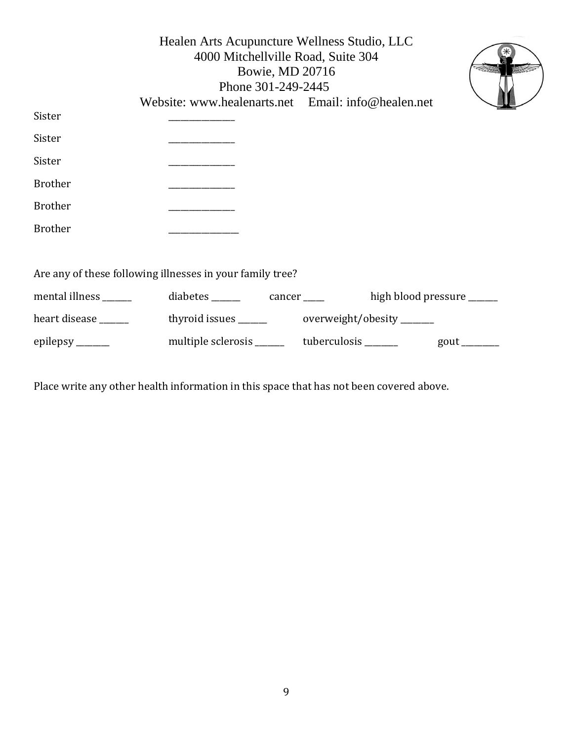|                                                           | Healen Arts Acupuncture Wellness Studio, LLC        | 4000 Mitchellville Road, Suite 304<br>Bowie, MD 20716<br>Phone 301-249-2445 |                           |                            |
|-----------------------------------------------------------|-----------------------------------------------------|-----------------------------------------------------------------------------|---------------------------|----------------------------|
|                                                           | Website: www.healenarts.net Email: info@healen.net  |                                                                             |                           |                            |
| Sister                                                    |                                                     |                                                                             |                           |                            |
| Sister                                                    |                                                     |                                                                             |                           |                            |
| Sister                                                    |                                                     |                                                                             |                           |                            |
| <b>Brother</b>                                            |                                                     |                                                                             |                           |                            |
| <b>Brother</b>                                            |                                                     |                                                                             |                           |                            |
| <b>Brother</b>                                            |                                                     |                                                                             |                           |                            |
|                                                           |                                                     |                                                                             |                           |                            |
| Are any of these following illnesses in your family tree? |                                                     |                                                                             |                           |                            |
| mental illness ______                                     |                                                     |                                                                             | high blood pressure _____ |                            |
| heart disease ______                                      |                                                     |                                                                             |                           |                            |
| epilepsy $\_\_$                                           | multiple sclerosis __________ tuberculosis ________ |                                                                             |                           | $gout$ <sub>________</sub> |
|                                                           |                                                     |                                                                             |                           |                            |

Place write any other health information in this space that has not been covered above.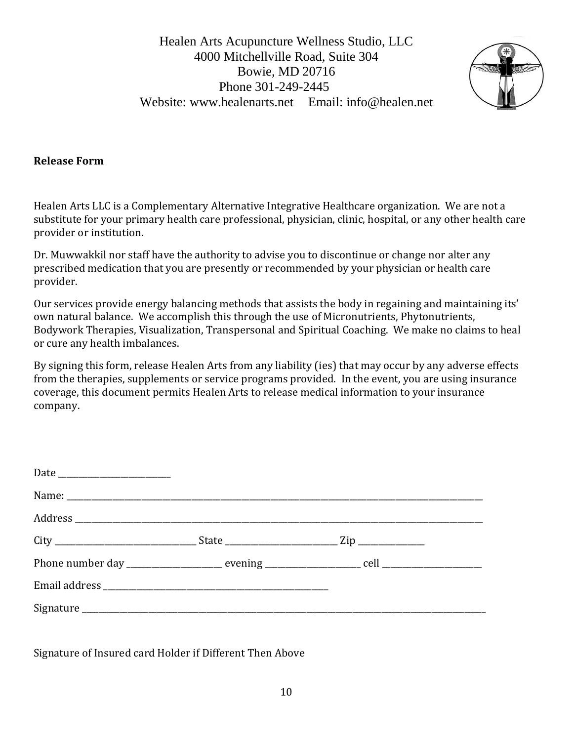

#### **Release Form**

Healen Arts LLC is a Complementary Alternative Integrative Healthcare organization. We are not a substitute for your primary health care professional, physician, clinic, hospital, or any other health care provider or institution.

Dr. Muwwakkil nor staff have the authority to advise you to discontinue or change nor alter any prescribed medication that you are presently or recommended by your physician or health care provider.

Our services provide energy balancing methods that assists the body in regaining and maintaining its' own natural balance. We accomplish this through the use of Micronutrients, Phytonutrients, Bodywork Therapies, Visualization, Transpersonal and Spiritual Coaching. We make no claims to heal or cure any health imbalances.

By signing this form, release Healen Arts from any liability (ies) that may occur by any adverse effects from the therapies, supplements or service programs provided. In the event, you are using insurance coverage, this document permits Healen Arts to release medical information to your insurance company.

Signature of Insured card Holder if Different Then Above